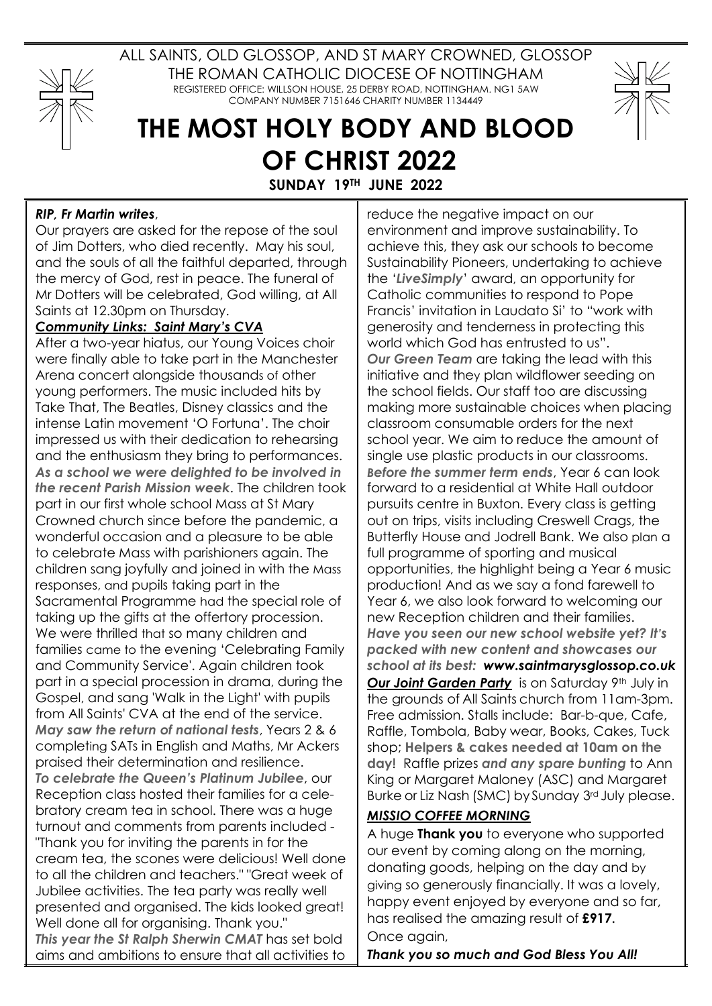

ALL SAINTS, OLD GLOSSOP, AND ST MARY CROWNED, GLOSSOP THE ROMAN CATHOLIC DIOCESE OF NOTTINGHAM REGISTERED OFFICE: WILLSON HOUSE, 25 DERBY ROAD, NOTTINGHAM. NG1 5AW COMPANY NUMBER 7151646 CHARITY NUMBER 1134449



## **THE MOST HOLY BODY AND BLOOD OF CHRIST 2022**

**SUNDAY 19TH JUNE 2022**

## *RIP, Fr Martin writes*,

Our prayers are asked for the repose of the soul of Jim Dotters, who died recently. May his soul, and the souls of all the faithful departed, through the mercy of God, rest in peace. The funeral of Mr Dotters will be celebrated, God willing, at All Saints at 12.30pm on Thursday.

## *Community Links: Saint Mary's CVA*

After a two-year hiatus, our Young Voices choir were finally able to take part in the Manchester Arena concert alongside thousands of other young performers. The music included hits by Take That, The Beatles, Disney classics and the intense Latin movement 'O Fortuna'. The choir impressed us with their dedication to rehearsing and the enthusiasm they bring to performances. *As a school we were delighted to be involved in the recent Parish Mission week*. The children took part in our first whole school Mass at St Mary Crowned church since before the pandemic, a wonderful occasion and a pleasure to be able to celebrate Mass with parishioners again. The children sang joyfully and joined in with the Mass responses, and pupils taking part in the Sacramental Programme had the special role of taking up the gifts at the offertory procession. We were thrilled that so many children and families came to the evening 'Celebrating Family and Community Service'. Again children took part in a special procession in drama, during the Gospel, and sang 'Walk in the Light' with pupils from All Saints' CVA at the end of the service. *May saw the return of national tests*, Years 2 & 6 completing SATs in English and Maths, Mr Ackers praised their determination and resilience. *To celebrate the Queen's Platinum Jubilee*, our Reception class hosted their families for a celebratory cream tea in school. There was a huge turnout and comments from parents included - "Thank you for inviting the parents in for the cream tea, the scones were delicious! Well done to all the children and teachers." "Great week of Jubilee activities. The tea party was really well presented and organised. The kids looked great! Well done all for organising. Thank you." *This year the St Ralph Sherwin CMAT* has set bold aims and ambitions to ensure that all activities to

reduce the negative impact on our environment and improve sustainability. To achieve this, they ask our schools to become Sustainability Pioneers, undertaking to achieve the '*LiveSimply*' award, an opportunity for Catholic communities to respond to Pope Francis' invitation in Laudato Si' to "work with generosity and tenderness in protecting this world which God has entrusted to us". *Our Green Team* are taking the lead with this initiative and they plan wildflower seeding on the school fields. Our staff too are discussing making more sustainable choices when placing classroom consumable orders for the next school year. We aim to reduce the amount of single use plastic products in our classrooms. *Before the summer term ends*, Year 6 can look forward to a residential at White Hall outdoor pursuits centre in Buxton. Every class is getting out on trips, visits including Creswell Crags, the Butterfly House and Jodrell Bank. We also plan a full programme of sporting and musical opportunities, the highlight being a Year 6 music production! And as we say a fond farewell to Year 6, we also look forward to welcoming our new Reception children and their families. *Have you seen our new school website yet? It's packed with new content and showcases our school at its best: www.saintmarysglossop.co.uk* **Our Joint Garden Party** is on Saturday 9th July in the grounds of All Saints church from 11am-3pm. Free admission. Stalls include: Bar-b-que, Cafe, Raffle, Tombola, Baby wear, Books, Cakes, Tuck shop; **Helpers & cakes needed at 10am on the day**! Raffle prizes *and any spare bunting* to Ann King or Margaret Maloney (ASC) and Margaret Burke or Liz Nash (SMC) by Sunday 3rd July please.

## *MISSIO COFFEE MORNING*

A huge **Thank you** to everyone who supported our event by coming along on the morning, donating goods, helping on the day and by giving so generously financially. It was a lovely, happy event enjoyed by everyone and so far, has realised the amazing result of **£917.** Once again,

*Thank you so much and God Bless You All!*